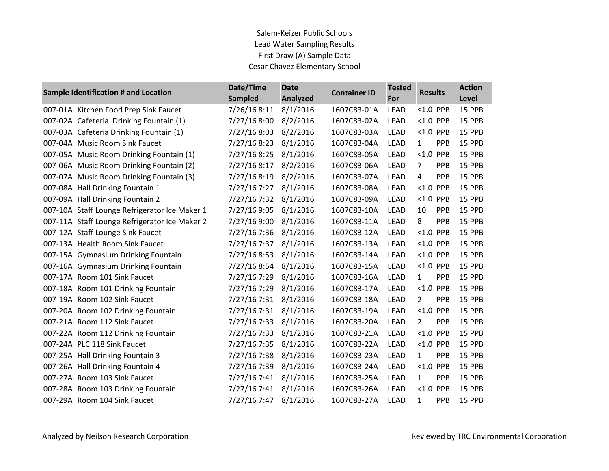| Sample Identification # and Location          | Date/Time<br><b>Sampled</b> | <b>Date</b><br>Analyzed | <b>Container ID</b> | <b>Tested</b><br>For | <b>Results</b>               | <b>Action</b><br>Level |
|-----------------------------------------------|-----------------------------|-------------------------|---------------------|----------------------|------------------------------|------------------------|
| 007-01A Kitchen Food Prep Sink Faucet         | 7/26/16 8:11                | 8/1/2016                | 1607C83-01A         | <b>LEAD</b>          | $< 1.0$ PPB                  | 15 PPB                 |
| 007-02A Cafeteria Drinking Fountain (1)       | 7/27/16 8:00                | 8/2/2016                | 1607C83-02A         | <b>LEAD</b>          | <1.0 PPB                     | 15 PPB                 |
| 007-03A Cafeteria Drinking Fountain (1)       | 7/27/16 8:03                | 8/2/2016                | 1607C83-03A         | <b>LEAD</b>          | $< 1.0$ PPB                  | 15 PPB                 |
| 007-04A Music Room Sink Faucet                | 7/27/16 8:23                | 8/1/2016                | 1607C83-04A         | LEAD                 | 1<br>PPB                     | 15 PPB                 |
| 007-05A Music Room Drinking Fountain (1)      | 7/27/16 8:25                | 8/1/2016                | 1607C83-05A         | LEAD                 | $< 1.0$ PPB                  | 15 PPB                 |
| 007-06A Music Room Drinking Fountain (2)      | 7/27/16 8:17                | 8/2/2016                | 1607C83-06A         | <b>LEAD</b>          | $\overline{7}$<br>PPB        | 15 PPB                 |
| 007-07A Music Room Drinking Fountain (3)      | 7/27/16 8:19                | 8/2/2016                | 1607C83-07A         | LEAD                 | 4<br>PPB                     | 15 PPB                 |
| 007-08A Hall Drinking Fountain 1              | 7/27/16 7:27                | 8/1/2016                | 1607C83-08A         | <b>LEAD</b>          | $< 1.0$ PPB                  | 15 PPB                 |
| 007-09A Hall Drinking Fountain 2              | 7/27/16 7:32                | 8/1/2016                | 1607C83-09A         | LEAD                 | <1.0 PPB                     | 15 PPB                 |
| 007-10A Staff Lounge Refrigerator Ice Maker 1 | 7/27/16 9:05                | 8/1/2016                | 1607C83-10A         | <b>LEAD</b>          | 10<br><b>PPB</b>             | 15 PPB                 |
| 007-11A Staff Lounge Refrigerator Ice Maker 2 | 7/27/16 9:00                | 8/1/2016                | 1607C83-11A         | <b>LEAD</b>          | 8<br>PPB                     | 15 PPB                 |
| 007-12A Staff Lounge Sink Faucet              | 7/27/16 7:36                | 8/1/2016                | 1607C83-12A         | <b>LEAD</b>          | <1.0 PPB                     | 15 PPB                 |
| 007-13A Health Room Sink Faucet               | 7/27/16 7:37                | 8/1/2016                | 1607C83-13A         | <b>LEAD</b>          | $< 1.0$ PPB                  | 15 PPB                 |
| 007-15A Gymnasium Drinking Fountain           | 7/27/16 8:53                | 8/1/2016                | 1607C83-14A         | LEAD                 | < 1.0<br>PPB                 | 15 PPB                 |
| 007-16A Gymnasium Drinking Fountain           | 7/27/16 8:54                | 8/1/2016                | 1607C83-15A         | <b>LEAD</b>          | $< 1.0$ PPB                  | 15 PPB                 |
| 007-17A Room 101 Sink Faucet                  | 7/27/16 7:29                | 8/1/2016                | 1607C83-16A         | <b>LEAD</b>          | 1<br>PPB                     | 15 PPB                 |
| 007-18A Room 101 Drinking Fountain            | 7/27/16 7:29                | 8/1/2016                | 1607C83-17A         | LEAD                 | $< 1.0$ PPB                  | 15 PPB                 |
| 007-19A Room 102 Sink Faucet                  | 7/27/16 7:31                | 8/1/2016                | 1607C83-18A         | <b>LEAD</b>          | 2<br><b>PPB</b>              | 15 PPB                 |
| 007-20A Room 102 Drinking Fountain            | 7/27/16 7:31                | 8/1/2016                | 1607C83-19A         | LEAD                 | $< 1.0$ PPB                  | 15 PPB                 |
| 007-21A Room 112 Sink Faucet                  | 7/27/16 7:33                | 8/1/2016                | 1607C83-20A         | <b>LEAD</b>          | $\overline{2}$<br><b>PPB</b> | 15 PPB                 |
| 007-22A Room 112 Drinking Fountain            | 7/27/16 7:33                | 8/1/2016                | 1607C83-21A         | LEAD                 | <1.0 PPB                     | 15 PPB                 |
| 007-24A PLC 118 Sink Faucet                   | 7/27/16 7:35                | 8/1/2016                | 1607C83-22A         | LEAD                 | $< 1.0$ PPB                  | 15 PPB                 |
| 007-25A Hall Drinking Fountain 3              | 7/27/16 7:38                | 8/1/2016                | 1607C83-23A         | <b>LEAD</b>          | 1<br>PPB                     | 15 PPB                 |
| 007-26A Hall Drinking Fountain 4              | 7/27/16 7:39                | 8/1/2016                | 1607C83-24A         | LEAD                 | $< 1.0$ PPB                  | 15 PPB                 |
| 007-27A Room 103 Sink Faucet                  | 7/27/16 7:41                | 8/1/2016                | 1607C83-25A         | <b>LEAD</b>          | 1<br>PPB                     | 15 PPB                 |
| 007-28A Room 103 Drinking Fountain            | 7/27/16 7:41                | 8/1/2016                | 1607C83-26A         | LEAD                 | $< 1.0$ PPB                  | 15 PPB                 |
| 007-29A Room 104 Sink Faucet                  | 7/27/16 7:47                | 8/1/2016                | 1607C83-27A         | <b>LEAD</b>          | 1<br><b>PPB</b>              | 15 PPB                 |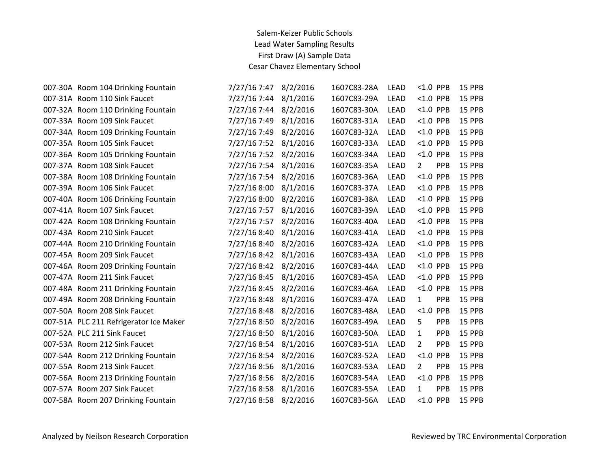| 007-30A Room 104 Drinking Fountain     | 7/27/16 7:47 | 8/2/2016 | 1607C83-28A | LEAD        | $< 1.0$ PPB                  | 15 PPB |
|----------------------------------------|--------------|----------|-------------|-------------|------------------------------|--------|
| 007-31A Room 110 Sink Faucet           | 7/27/16 7:44 | 8/1/2016 | 1607C83-29A | <b>LEAD</b> | $< 1.0$ PPB                  | 15 PPB |
| 007-32A Room 110 Drinking Fountain     | 7/27/16 7:44 | 8/2/2016 | 1607C83-30A | <b>LEAD</b> | $< 1.0$ PPB                  | 15 PPB |
| 007-33A Room 109 Sink Faucet           | 7/27/16 7:49 | 8/1/2016 | 1607C83-31A | LEAD        | $< 1.0$ PPB                  | 15 PPB |
| 007-34A Room 109 Drinking Fountain     | 7/27/16 7:49 | 8/2/2016 | 1607C83-32A | <b>LEAD</b> | $< 1.0$ PPB                  | 15 PPB |
| 007-35A Room 105 Sink Faucet           | 7/27/16 7:52 | 8/1/2016 | 1607C83-33A | LEAD        | $< 1.0$ PPB                  | 15 PPB |
| 007-36A Room 105 Drinking Fountain     | 7/27/16 7:52 | 8/2/2016 | 1607C83-34A | <b>LEAD</b> | $< 1.0$ PPB                  | 15 PPB |
| 007-37A Room 108 Sink Faucet           | 7/27/16 7:54 | 8/1/2016 | 1607C83-35A | <b>LEAD</b> | $\overline{2}$<br><b>PPB</b> | 15 PPB |
| 007-38A Room 108 Drinking Fountain     | 7/27/16 7:54 | 8/2/2016 | 1607C83-36A | <b>LEAD</b> | $< 1.0$ PPB                  | 15 PPB |
| 007-39A Room 106 Sink Faucet           | 7/27/16 8:00 | 8/1/2016 | 1607C83-37A | <b>LEAD</b> | $< 1.0$ PPB                  | 15 PPB |
| 007-40A Room 106 Drinking Fountain     | 7/27/16 8:00 | 8/2/2016 | 1607C83-38A | <b>LEAD</b> | $< 1.0$ PPB                  | 15 PPB |
| 007-41A Room 107 Sink Faucet           | 7/27/16 7:57 | 8/1/2016 | 1607C83-39A | <b>LEAD</b> | $< 1.0$ PPB                  | 15 PPB |
| 007-42A Room 108 Drinking Fountain     | 7/27/16 7:57 | 8/2/2016 | 1607C83-40A | <b>LEAD</b> | $< 1.0$ PPB                  | 15 PPB |
| 007-43A Room 210 Sink Faucet           | 7/27/16 8:40 | 8/1/2016 | 1607C83-41A | LEAD        | $< 1.0$ PPB                  | 15 PPB |
| 007-44A Room 210 Drinking Fountain     | 7/27/16 8:40 | 8/2/2016 | 1607C83-42A | <b>LEAD</b> | $< 1.0$ PPB                  | 15 PPB |
| 007-45A Room 209 Sink Faucet           | 7/27/16 8:42 | 8/1/2016 | 1607C83-43A | <b>LEAD</b> | $< 1.0$ PPB                  | 15 PPB |
| 007-46A Room 209 Drinking Fountain     | 7/27/16 8:42 | 8/2/2016 | 1607C83-44A | LEAD        | $< 1.0$ PPB                  | 15 PPB |
| 007-47A Room 211 Sink Faucet           | 7/27/16 8:45 | 8/1/2016 | 1607C83-45A | <b>LEAD</b> | $< 1.0$ PPB                  | 15 PPB |
| 007-48A Room 211 Drinking Fountain     | 7/27/16 8:45 | 8/2/2016 | 1607C83-46A | LEAD        | $< 1.0$ PPB                  | 15 PPB |
| 007-49A Room 208 Drinking Fountain     | 7/27/16 8:48 | 8/1/2016 | 1607C83-47A | <b>LEAD</b> | $\mathbf{1}$<br>PPB          | 15 PPB |
| 007-50A Room 208 Sink Faucet           | 7/27/16 8:48 | 8/2/2016 | 1607C83-48A | <b>LEAD</b> | $< 1.0$ PPB                  | 15 PPB |
| 007-51A PLC 211 Refrigerator Ice Maker | 7/27/16 8:50 | 8/2/2016 | 1607C83-49A | LEAD        | 5<br>PPB                     | 15 PPB |
| 007-52A PLC 211 Sink Faucet            | 7/27/16 8:50 | 8/1/2016 | 1607C83-50A | <b>LEAD</b> | $\mathbf{1}$<br><b>PPB</b>   | 15 PPB |
| 007-53A Room 212 Sink Faucet           | 7/27/16 8:54 | 8/1/2016 | 1607C83-51A | LEAD        | $\overline{2}$<br>PPB        | 15 PPB |
| 007-54A Room 212 Drinking Fountain     | 7/27/16 8:54 | 8/2/2016 | 1607C83-52A | LEAD        | $< 1.0$ PPB                  | 15 PPB |
| 007-55A Room 213 Sink Faucet           | 7/27/16 8:56 | 8/1/2016 | 1607C83-53A | <b>LEAD</b> | $\overline{2}$<br><b>PPB</b> | 15 PPB |
| 007-56A Room 213 Drinking Fountain     | 7/27/16 8:56 | 8/2/2016 | 1607C83-54A | LEAD        | <1.0 PPB                     | 15 PPB |
| 007-57A Room 207 Sink Faucet           | 7/27/16 8:58 | 8/1/2016 | 1607C83-55A | <b>LEAD</b> | <b>PPB</b><br>$\mathbf{1}$   | 15 PPB |
| 007-58A Room 207 Drinking Fountain     | 7/27/16 8:58 | 8/2/2016 | 1607C83-56A | <b>LEAD</b> | $< 1.0$ PPB                  | 15 PPB |
|                                        |              |          |             |             |                              |        |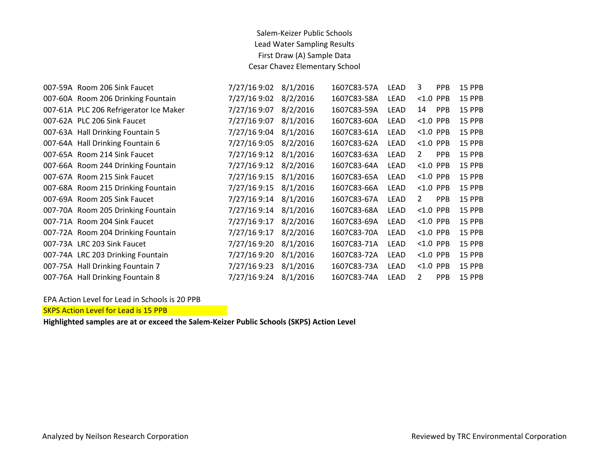| 007-59A Room 206 Sink Faucet           | 7/27/16 9:02 | 8/1/2016 | 1607C83-57A | LEAD        | 3              | <b>PPB</b> | <b>15 PPB</b> |
|----------------------------------------|--------------|----------|-------------|-------------|----------------|------------|---------------|
| 007-60A Room 206 Drinking Fountain     | 7/27/16 9:02 | 8/2/2016 | 1607C83-58A | LEAD        | $< 1.0$ PPB    |            | <b>15 PPB</b> |
| 007-61A PLC 206 Refrigerator Ice Maker | 7/27/16 9:07 | 8/2/2016 | 1607C83-59A | LEAD        | 14             | <b>PPB</b> | <b>15 PPB</b> |
| 007-62A PLC 206 Sink Faucet            | 7/27/16 9:07 | 8/1/2016 | 1607C83-60A | LEAD        | $< 1.0$ PPB    |            | 15 PPB        |
| 007-63A Hall Drinking Fountain 5       | 7/27/16 9:04 | 8/1/2016 | 1607C83-61A | LEAD        | $< 1.0$ PPB    |            | <b>15 PPB</b> |
| 007-64A Hall Drinking Fountain 6       | 7/27/16 9:05 | 8/2/2016 | 1607C83-62A | LEAD        | $< 1.0$ PPB    |            | <b>15 PPB</b> |
| 007-65A Room 214 Sink Faucet           | 7/27/16 9:12 | 8/1/2016 | 1607C83-63A | LEAD        | $\overline{2}$ | <b>PPB</b> | <b>15 PPB</b> |
| 007-66A Room 244 Drinking Fountain     | 7/27/16 9:12 | 8/2/2016 | 1607C83-64A | <b>LEAD</b> | $< 1.0$ PPB    |            | <b>15 PPB</b> |
| 007-67A Room 215 Sink Faucet           | 7/27/16 9:15 | 8/1/2016 | 1607C83-65A | LEAD        | $< 1.0$ PPB    |            | <b>15 PPB</b> |
| 007-68A Room 215 Drinking Fountain     | 7/27/16 9:15 | 8/1/2016 | 1607C83-66A | LEAD        | $< 1.0$ PPB    |            | 15 PPB        |
| 007-69A Room 205 Sink Faucet           | 7/27/16 9:14 | 8/1/2016 | 1607C83-67A | LEAD        | $\overline{2}$ | PPB        | 15 PPB        |
| 007-70A Room 205 Drinking Fountain     | 7/27/16 9:14 | 8/1/2016 | 1607C83-68A | LEAD        | $< 1.0$ PPB    |            | <b>15 PPB</b> |
| 007-71A Room 204 Sink Faucet           | 7/27/16 9:17 | 8/2/2016 | 1607C83-69A | LEAD        | $< 1.0$ PPB    |            | 15 PPB        |
| 007-72A Room 204 Drinking Fountain     | 7/27/16 9:17 | 8/2/2016 | 1607C83-70A | LEAD        | $< 1.0$ PPB    |            | <b>15 PPB</b> |
| 007-73A LRC 203 Sink Faucet            | 7/27/16 9:20 | 8/1/2016 | 1607C83-71A | LEAD        | $< 1.0$ PPB    |            | <b>15 PPB</b> |
| 007-74A LRC 203 Drinking Fountain      | 7/27/16 9:20 | 8/1/2016 | 1607C83-72A | LEAD        | $< 1.0$ PPB    |            | <b>15 PPB</b> |
| 007-75A Hall Drinking Fountain 7       | 7/27/16 9:23 | 8/1/2016 | 1607C83-73A | LEAD        | $< 1.0$ PPB    |            | <b>15 PPB</b> |
| 007-76A Hall Drinking Fountain 8       | 7/27/16 9:24 | 8/1/2016 | 1607C83-74A | <b>LEAD</b> | 2              | <b>PPB</b> | <b>15 PPB</b> |

EPA Action Level for Lead in Schools is 20 PPB

SKPS Action Level for Lead is 15 PPB

**Highlighted samples are at or exceed the Salem-Keizer Public Schools (SKPS) Action Level**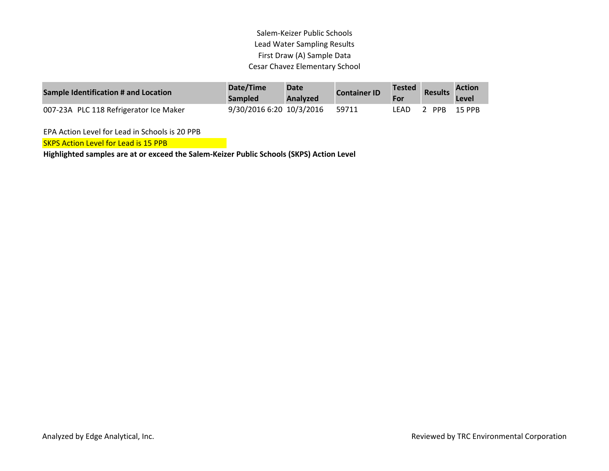| Sample Identification # and Location   | Date/Time<br><b>Sampled</b> | Date<br>Analyzed | <b>Container ID</b> | <b>Tested</b> | <b>Results</b> | <b>Action</b><br>Level |
|----------------------------------------|-----------------------------|------------------|---------------------|---------------|----------------|------------------------|
| 007-23A PLC 118 Refrigerator Ice Maker | 9/30/2016 6:20 10/3/2016    |                  | 59711               | _FAD          | PPB            | 15 PPB                 |

EPA Action Level for Lead in Schools is 20 PPB

**SKPS Action Level for Lead is 15 PPB** 

**Highlighted samples are at or exceed the Salem-Keizer Public Schools (SKPS) Action Level**